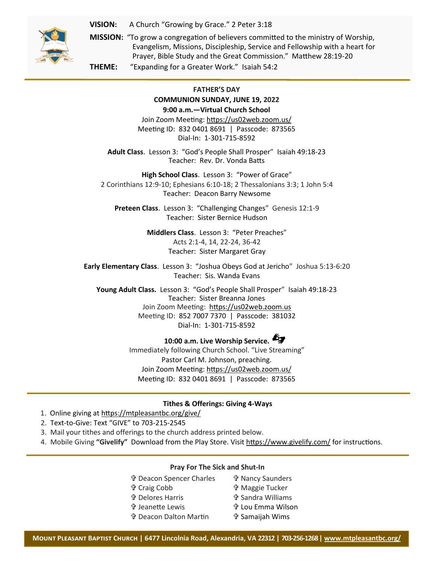**VISION:** A Church "Growing by Grace." 2 Peter 3:18



**MISSION:** "To grow a congregation of believers committed to the ministry of Worship, Evangelism, Missions, Discipleship, Service and Fellowship with a heart for Prayer, Bible Study and the Great Commission." Matthew 28:19-20 **THEME:** "Expanding for a Greater Work." Isaiah 54:2

# **FATHER'S DAY COMMUNION SUNDAY, JUNE 19, 2022**

**9:00 a.m.—Virtual Church School**  Join Zoom Meeting: [https://us02web.zoom.us/](https://us02web.zoom.us/j/83204018691?pwd=dVRQVDB3NU1ScXVmOTRnMXpHWHZVUT09) Meeting ID: 832 0401 8691 | Passcode: 873565 Dial-In: 1-301-715-8592

**Adult Class**. Lesson 3: "God's People Shall Prosper" Isaiah 49:18-23 Teacher: Rev. Dr. Vonda Batts

**High School Class**. Lesson 3: "Power of Grace" 2 Corinthians 12:9-10; Ephesians 6:10-18; 2 Thessalonians 3:3; 1 John 5:4 Teacher: Deacon Barry Newsome

**Preteen Class**. Lesson 3: "Challenging Changes" Genesis 12:1-9 Teacher: Sister Bernice Hudson

> **Middlers Class**. Lesson 3: "Peter Preaches" Acts 2:1-4, 14, 22-24, 36-42 Teacher: Sister Margaret Gray

**Early Elementary Class**. Lesson 3: "Joshua Obeys God at Jericho" Joshua 5:13-6:20 Teacher: Sis. Wanda Evans

**Young Adult Class.** Lesson 3: "God's People Shall Prosper" Isaiah 49:18-23 Teacher: Sister Breanna Jones Join Zoom Meeting: [https://us02web.zoom.us](https://us02web.zoom.us/j/85270077370?pwd=a21VbVVLb2c4elo4T3pzaWNoV2dGdz09) Meeting ID: 852 7007 7370 | Passcode: 381032 Dial-In: 1-301-715-8592

# **10:00 a.m. Live Worship Service.**  Immediately following Church School. "Live Streaming" Pastor Carl M. Johnson, preaching. Join Zoom Meeting: [https://us02web.zoom.us/](https://us02web.zoom.us/j/83204018691?pwd=dVRQVDB3NU1ScXVmOTRnMXpHWHZVUT09) Meeting ID: 832 0401 8691 | Passcode: 873565

#### **Tithes & Offerings: Giving 4-Ways**

- 1. Online giving at<https://mtpleasantbc.org/give/>
- 2. Text-to-Give: Text "GIVE" to 703-215-2545
- 3. Mail your tithes and offerings to the church address printed below.
- 4. Mobile Giving **"Givelify"** Download from the Play Store. Visit <https://www.givelify.com/> for instructions.

#### **Pray For The Sick and Shut-In**

- Deacon Spencer Charles Nancy Saunders
- 
- 
- 
- Deacon Dalton Martin Samaijah Wims
- 
- Craig Cobb Maggie Tucker
- Delores Harris Sandra Williams
- Jeanette Lewis Lou Emma Wilson
	-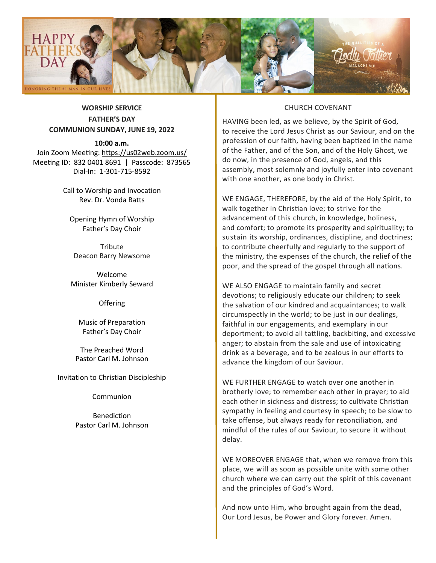

# **WORSHIP SERVICE FATHER'S DAY COMMUNION SUNDAY, JUNE 19, 2022**

#### **10:00 a.m.**

Join Zoom Meeting: [https://us02web.zoom.us/](https://us02web.zoom.us/j/83204018691?pwd=dVRQVDB3NU1ScXVmOTRnMXpHWHZVUT09) Meeting ID: 832 0401 8691 | Passcode: 873565 Dial-In: 1-301-715-8592

> Call to Worship and Invocation Rev. Dr. Vonda Batts

Opening Hymn of Worship Father's Day Choir

**Tribute** Deacon Barry Newsome

Welcome Minister Kimberly Seward

Offering

Music of Preparation Father's Day Choir

The Preached Word Pastor Carl M. Johnson

Invitation to Christian Discipleship

Communion

Benediction Pastor Carl M. Johnson

#### CHURCH COVENANT

HAVING been led, as we believe, by the Spirit of God, to receive the Lord Jesus Christ as our Saviour, and on the profession of our faith, having been baptized in the name of the Father, and of the Son, and of the Holy Ghost, we do now, in the presence of God, angels, and this assembly, most solemnly and joyfully enter into covenant with one another, as one body in Christ.

WE ENGAGE, THEREFORE, by the aid of the Holy Spirit, to walk together in Christian love; to strive for the advancement of this church, in knowledge, holiness, and comfort; to promote its prosperity and spirituality; to sustain its worship, ordinances, discipline, and doctrines; to contribute cheerfully and regularly to the support of the ministry, the expenses of the church, the relief of the poor, and the spread of the gospel through all nations.

WE ALSO ENGAGE to maintain family and secret devotions; to religiously educate our children; to seek the salvation of our kindred and acquaintances; to walk circumspectly in the world; to be just in our dealings, faithful in our engagements, and exemplary in our deportment; to avoid all tattling, backbiting, and excessive anger; to abstain from the sale and use of intoxicating drink as a beverage, and to be zealous in our efforts to advance the kingdom of our Saviour.

WE FURTHER ENGAGE to watch over one another in brotherly love; to remember each other in prayer; to aid each other in sickness and distress; to cultivate Christian sympathy in feeling and courtesy in speech; to be slow to take offense, but always ready for reconciliation, and mindful of the rules of our Saviour, to secure it without delay.

WE MOREOVER ENGAGE that, when we remove from this place, we will as soon as possible unite with some other church where we can carry out the spirit of this covenant and the principles of God's Word.

And now unto Him, who brought again from the dead, Our Lord Jesus, be Power and Glory forever. Amen.